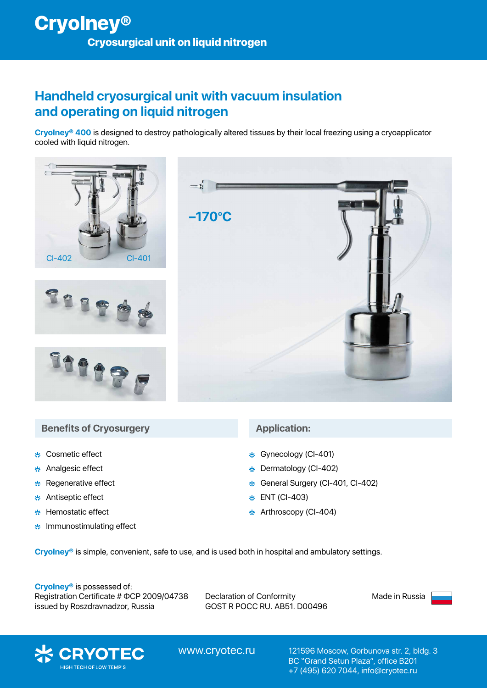## **Handheld cryosurgical unit with vacuum insulation and operating on liquid nitrogen**

**CryoIney® 400** is designed to destroy pathologically altered tissues by their local freezing using a cryoapplicator cooled with liquid nitrogen.



#### **Benefits of Cryosurgery Application:**

- Cosmetic effect
- Analgesic effect 裝
- Regenerative effect 柴
- 柴 Antiseptic effect
- Hemostatic effect پيو
- \* Immunostimulating effect

- **本 Gynecology (CI-401)**
- Dermatology (CI-402) پادِ
- General Surgery (CI-401, CI-402) پيو
- ENT (CI-403) پاد
- $\frac{1}{25}$  Arthroscopy (CI-404)

**CryoIney®** is simple, convenient, safe to use, and is used both in hospital and ambulatory settings.

**CryoIney®** is possessed of: Registration Certificate # ФСР 2009/04738 issued by Roszdravnadzor, Russia

Declaration of Conformity GOST R РОСС RU. АВ51. D00496 Made in Russia



www.cryotec.ru

121596 Moscow, Gorbunova str. 2, bldg. 3 BC "Grand Setun Plaza", office B201 +7 (495) 620 7044, info@cryotec.ru